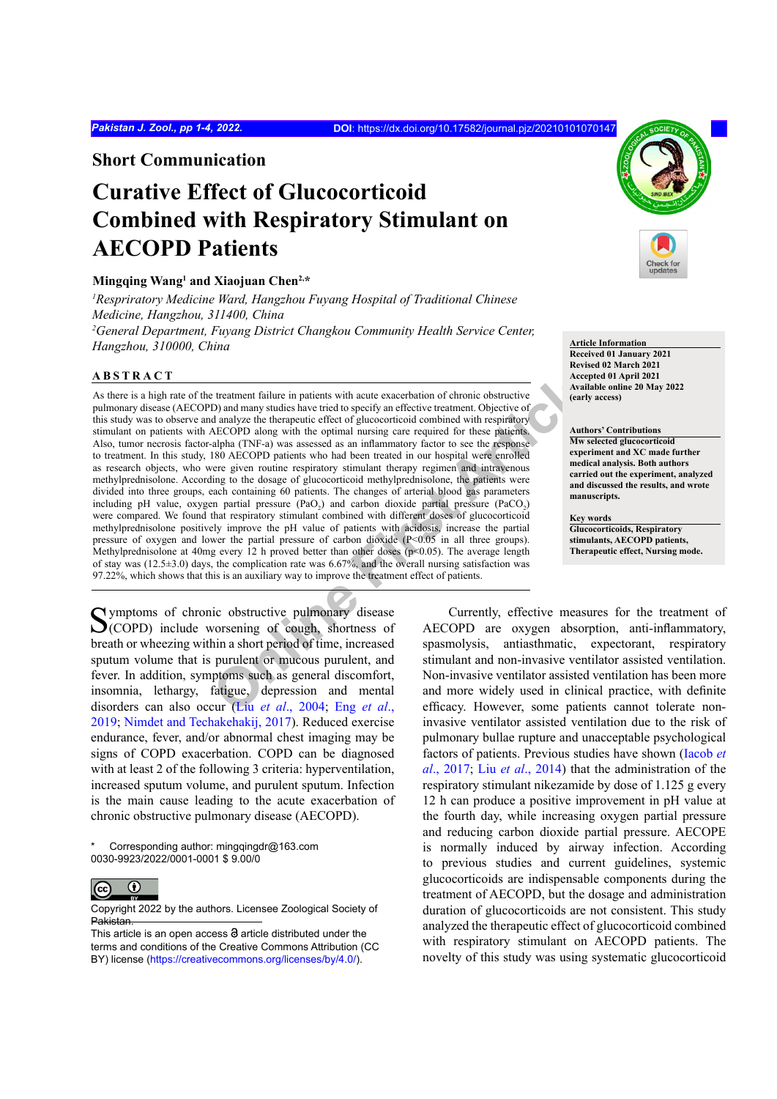**Short Communication**

# **Curative Effect of Glucocorticoid Combined with Respiratory Stimulant on AECOPD Patients**

# **Mingqing Wang1 and Xiaojuan Chen2,\***

*1 Respriratory Medicine Ward, Hangzhou Fuyang Hospital of Traditional Chinese Medicine, Hangzhou, 311400, China 2 General Department, Fuyang District Changkou Community Health Service Center, Hangzhou, 310000, China* **Article Information** 

#### **ABSTRACT**

**Exament failure in patients with acute exacerbation of chronic obstructive<br>
D) and many studies have tried to specify an effective treatment. [O](#page-3-0)bjective of early<br>
OD and many studies have tried to specify an effective trea** As there is a high rate of the treatment failure in patients with acute exacerbation of chronic obstructive pulmonary disease (AECOPD) and many studies have tried to specify an effective treatment. Objective of this study was to observe and analyze the therapeutic effect of glucocorticoid combined with respiratory stimulant on patients with AECOPD along with the optimal nursing care required for these patients. Also, tumor necrosis factor-alpha (TNF-a) was assessed as an inflammatory factor to see the response to treatment. In this study, 180 AECOPD patients who had been treated in our hospital were enrolled as research objects, who were given routine respiratory stimulant therapy regimen and intravenous methylprednisolone. According to the dosage of glucocorticoid methylprednisolone, the patients were divided into three groups, each containing 60 patients. The changes of arterial blood gas parameters including pH value, oxygen partial pressure  $(PaO<sub>2</sub>)$  and carbon dioxide partial pressure  $(PaCO<sub>2</sub>)$ were compared. We found that respiratory stimulant combined with different doses of glucocorticoid methylprednisolone positively improve the pH value of patients with acidosis, increase the partial pressure of oxygen and lower the partial pressure of carbon dioxide (P<0.05 in all three groups). Methylprednisolone at 40mg every 12 h proved better than other doses ( $p \le 0.05$ ). The average length of stay was (12.5±3.0) days, the complication rate was 6.67%, and the overall nursing satisfaction was 97.22%, which shows that this is an auxiliary way to improve the treatment effect of patients.

Symptoms of chronic obstructive pulmonary disease<br>
(COPD) include worsening of cough, shortness of breath or wheezing within a short period of time, increased sputum volume that is purulent or mucous purulent, and fever. In addition, symptoms such as general discomfort, insomnia, lethargy, fatigue, depression and mental disorders can also occur (Liu *et al*., 2004; Eng *et al*., [2019;](#page-3-1) [Nimdet and Techakehakij, 2017](#page-3-2)). Reduced exercise endurance, fever, and/or abnormal chest imaging may be signs of COPD exacerbation. COPD can be diagnosed with at least 2 of the following 3 criteria: hyperventilation, increased sputum volume, and purulent sputum. Infection is the main cause leading to the acute exacerbation of chronic obstructive pulmonary disease (AECOPD).

Corresponding author: mingqingdr@163.com 0030-9923/2022/0001-0001 \$ 9.00/0



Copyright 2022 by the authors. Licensee Zoological Society of Pakistan.



**Received 01 January 2021 Revised 02 March 2021 Accepted 01 April 2021 Available online 20 May 2022 (early access)**

**Authors' Contributions Mw selected glucocorticoid experiment and XC made further medical analysis. Both authors carried out the experiment, analyzed and discussed the results, and wrote manuscripts.**

**Key words Glucocorticoids, Respiratory stimulants, AECOPD patients, Therapeutic effect, Nursing mode.**

Currently, effective measures for the treatment of AECOPD are oxygen absorption, anti-inflammatory, spasmolysis, antiasthmatic, expectorant, respiratory stimulant and non-invasive ventilator assisted ventilation. Non-invasive ventilator assisted ventilation has been more and more widely used in clinical practice, with definite efficacy. However, some patients cannot tolerate noninvasive ventilator assisted ventilation due to the risk of pulmonary bullae rupture and unacceptable psychological factors of patients. Previous studies have shown (Iacob *et al*., 2017; Liu *et al*[., 2014](#page-3-3)) that the administration of the respiratory stimulant nikezamide by dose of 1.125 g every 12 h can produce a positive improvement in pH value at the fourth day, while increasing oxygen partial pressure and reducing carbon dioxide partial pressure. AECOPE is normally induced by airway infection. According to previous studies and current guidelines, systemic glucocorticoids are indispensable components during the treatment of AECOPD, but the dosage and administration duration of glucocorticoids are not consistent. This study analyzed the therapeutic effect of glucocorticoid combined with respiratory stimulant on AECOPD patients. The novelty of this study was using systematic glucocorticoid

This article is an open access  $\Theta$  article distributed under the terms and conditions of the Creative Commons Attribution (CC BY) license (https://creativecommons.org/licenses/by/4.0/).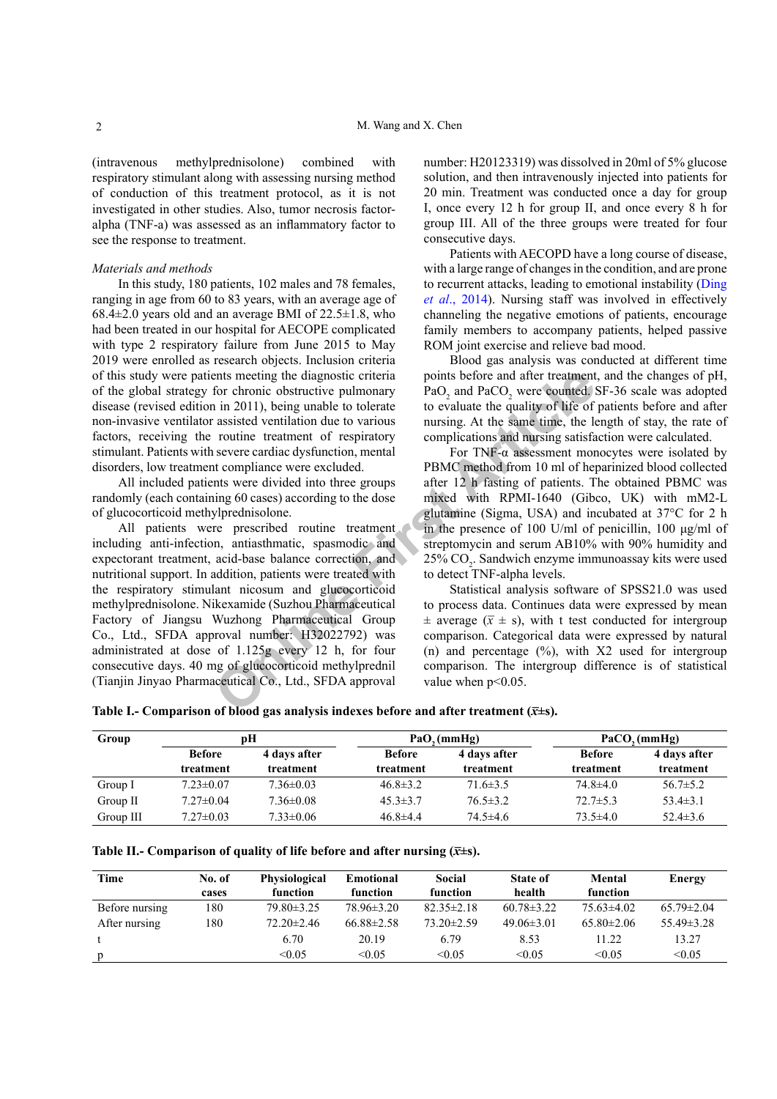(intravenous methylprednisolone) combined with respiratory stimulant along with assessing nursing method of conduction of this treatment protocol, as it is not investigated in other studies. Also, tumor necrosis factoralpha (TNF-a) was assessed as an inflammatory factor to see the response to treatment.

# *Materials and methods*

In this study, 180 patients, 102 males and 78 females, ranging in age from 60 to 83 years, with an average age of  $68.4\pm2.0$  years old and an average BMI of  $22.5\pm1.8$ , who had been treated in our hospital for AECOPE complicated with type 2 respiratory failure from June 2015 to May 2019 were enrolled as research objects. Inclusion criteria of this study were patients meeting the diagnostic criteria of the global strategy for chronic obstructive pulmonary disease (revised edition in 2011), being unable to tolerate non-invasive ventilator assisted ventilation due to various factors, receiving the routine treatment of respiratory stimulant. Patients with severe cardiac dysfunction, mental disorders, low treatment compliance were excluded.

All included patients were divided into three groups randomly (each containing 60 cases) according to the dose of glucocorticoid methylprednisolone.

ents meeting the diagnostic criteria<br>
or chronic obstructive pulmonary<br>
in 2011), being unable to because to evaluate the quality of life of<br>
a assisted ventilation due to verious<br>
nursing. At the same time, the la<br>
reali All patients were prescribed routine treatment including anti-infection, antiasthmatic, spasmodic and expectorant treatment, acid-base balance correction, and nutritional support. In addition, patients were treated with the respiratory stimulant nicosum and glucocorticoid methylprednisolone. Nikexamide (Suzhou Pharmaceutical Factory of Jiangsu Wuzhong Pharmaceutical Group Co., Ltd., SFDA approval number: H32022792) was administrated at dose of 1.125g every 12 h, for four consecutive days. 40 mg of glucocorticoid methylprednil (Tianjin Jinyao Pharmaceutical Co., Ltd., SFDA approval

number: H20123319) was dissolved in 20ml of 5% glucose solution, and then intravenously injected into patients for 20 min. Treatment was conducted once a day for group I, once every 12 h for group II, and once every 8 h for group III. All of the three groups were treated for four consecutive days.

Patients with AECOPD have a long course of disease, with a large range of changes in the condition, and are prone to recurrent attacks, leading to emotional instability [\(Ding](#page-2-0) *et al*[., 2014\)](#page-2-0). Nursing staff was involved in effectively channeling the negative emotions of patients, encourage family members to accompany patients, helped passive ROM joint exercise and relieve bad mood.

Blood gas analysis was conducted at different time points before and after treatment, and the changes of pH, PaO<sub>2</sub> and PaCO<sub>2</sub> were counted. SF-36 scale was adopted to evaluate the quality of life of patients before and after nursing. At the same time, the length of stay, the rate of complications and nursing satisfaction were calculated.

For TNF- $\alpha$  assessment monocytes were isolated by PBMC method from 10 ml of heparinized blood collected after 12 h fasting of patients. The obtained PBMC was mixed with RPMI-1640 (Gibco, UK) with mM2-L glutamine (Sigma, USA) and incubated at 37°C for 2 h in the presence of 100 U/ml of penicillin, 100 μg/ml of streptomycin and serum AB10% with 90% humidity and  $25\%$  CO<sub>2</sub>. Sandwich enzyme immunoassay kits were used to detect TNF-alpha levels.

Statistical analysis software of SPSS21.0 was used to process data. Continues data were expressed by mean  $\pm$  average ( $\bar{x} \pm s$ ), with t test conducted for intergroup comparison. Categorical data were expressed by natural (n) and percentage  $(\%)$ , with X2 used for intergroup comparison. The intergroup difference is of statistical value when  $p<0.05$ .

<span id="page-1-0"></span>**Table I.- Comparison of blood gas analysis indexes before and after treatment**  $(\bar{x} \pm s)$ **.** 

| Group     | pН                         |                           |                            | PaO, (mmHg)               | PaCO, (mmHg)               |                           |
|-----------|----------------------------|---------------------------|----------------------------|---------------------------|----------------------------|---------------------------|
|           | <b>Before</b><br>treatment | 4 days after<br>treatment | <b>Before</b><br>treatment | 4 days after<br>treatment | <b>Before</b><br>treatment | 4 days after<br>treatment |
| Group I   | $7.23 \pm 0.07$            | $7.36 \pm 0.03$           | $46.8 \pm 3.2$             | $71.6 \pm 3.5$            | $74.8 \pm 4.0$             | $56.7 \pm 5.2$            |
| Group II  | $7.27 \pm 0.04$            | $7.36 \pm 0.08$           | $45.3 \pm 3.7$             | $76.5 \pm 3.2$            | $72.7 \pm 5.3$             | $53.4 \pm 3.1$            |
| Group III | $7.27 \pm 0.03$            | $7.33 \pm 0.06$           | $46.8 \pm 4.4$             | $74.5 \pm 4.6$            | $73.5 \pm 4.0$             | $52.4 \pm 3.6$            |

<span id="page-1-1"></span>**Table II.- Comparison of quality of life before and after nursing**  $(\bar{x} \pm s)$ **.** 

| Time           | No. of | Physiological    | Emotional        | Social           | <b>State of</b>  | Mental         | Energy           |
|----------------|--------|------------------|------------------|------------------|------------------|----------------|------------------|
|                | cases  | function         | function         | function         | health           | function       |                  |
| Before nursing | 180    | $79.80 \pm 3.25$ | $78.96\pm3.20$   | $82.35 \pm 2.18$ | $60.78 \pm 3.22$ | $75.63\pm4.02$ | $65.79 \pm 2.04$ |
| After nursing  | 180    | $72.20 \pm 2.46$ | $66.88 \pm 2.58$ | $73.20 \pm 2.59$ | $49.06\pm3.01$   | $65.80\pm2.06$ | $55.49 \pm 3.28$ |
|                |        | 6.70             | 20.19            | 6.79             | 8.53             | 11.22          | 13.27            |
|                |        | < 0.05           | < 0.05           | < 0.05           | < 0.05           | < 0.05         | < 0.05           |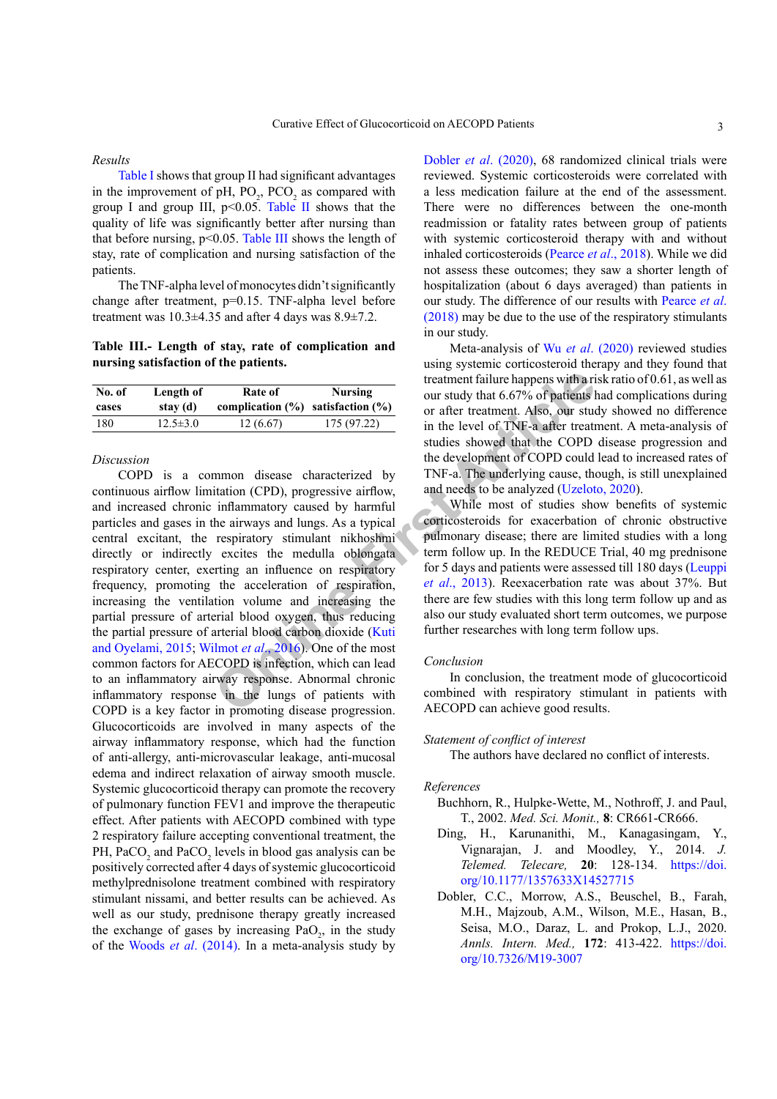#### *Results*

[Table I](#page-1-0) shows that group II had significant advantages in the improvement of pH,  $PO_2$ ,  $PCO_2$  as compared with group I and group III,  $p<0.05$ . [Table](#page-1-1) II shows that the quality of life was significantly better after nursing than that before nursing,  $p<0.05$ . [Table](#page-2-1) III shows the length of stay, rate of complication and nursing satisfaction of the patients.

The TNF-alpha level of monocytes didn't significantly change after treatment, p=0.15. TNF-alpha level before treatment was 10.3±4.35 and after 4 days was 8.9±7.2.

<span id="page-2-1"></span>**Table III.- Length of stay, rate of complication and nursing satisfaction of the patients.**

| No. of | Length of      | Rate of                                 | <b>Nursing</b> |  |
|--------|----------------|-----------------------------------------|----------------|--|
| cases  | stay (d)       | complication $(\%)$ satisfaction $(\%)$ |                |  |
| 180    | $12.5 \pm 3.0$ | 12(6.67)                                | 175 (97.22)    |  |

## *Discussion*

**Rate of Nursing**<br> **COPD** is the station (%) satisfaction (%) and station (%) in the level of TNF-a after treatment. Also, our students and the text of TNF-a and treatment. Also, our students that incomplication (CPD), p COPD is a common disease characterized by continuous airflow limitation (CPD), progressive airflow, and increased chronic inflammatory caused by harmful particles and gases in the airways and lungs. As a typical central excitant, the respiratory stimulant nikhoshmi directly or indirectly excites the medulla oblongata respiratory center, exerting an influence on respiratory frequency, promoting the acceleration of respiration, increasing the ventilation volume and increasing the partial pressure of arterial blood oxygen, thus reducing the partial pressure of arterial blood carbon dioxide (Kuti [and Oyelami, 2015](#page-3-4); Wilmot *et al*., 2016). One of the most common factors for AECOPD is infection, which can lead to an inflammatory airway response. Abnormal chronic inflammatory response in the lungs of patients with COPD is a key factor in promoting disease progression. Glucocorticoids are involved in many aspects of the airway inflammatory response, which had the function of anti-allergy, anti-microvascular leakage, anti-mucosal edema and indirect relaxation of airway smooth muscle. Systemic glucocorticoid therapy can promote the recovery of pulmonary function FEV1 and improve the therapeutic effect. After patients with AECOPD combined with type 2 respiratory failure accepting conventional treatment, the PH,  $PaCO<sub>2</sub>$  and  $PaCO<sub>2</sub>$  levels in blood gas analysis can be positively corrected after 4 days of systemic glucocorticoid methylprednisolone treatment combined with respiratory stimulant nissami, and better results can be achieved. As well as our study, prednisone therapy greatly increased the exchange of gases by increasing  $PaO<sub>2</sub>$ , in the study of the Woods *et al*[. \(2014\).](#page-3-6) In a meta-analysis study by

Dobler *et al*[. \(2020\),](#page-2-2) 68 randomized clinical trials were reviewed. Systemic corticosteroids were correlated with a less medication failure at the end of the assessment. There were no differences between the one-month readmission or fatality rates between group of patients with systemic corticosteroid therapy with and without inhaled corticosteroids [\(Pearce](#page-3-7) *et al*., 2018). While we did not assess these outcomes; they saw a shorter length of hospitalization (about 6 days averaged) than patients in our study. The difference of our results with [Pearce](#page-3-7) *et al*. [\(2018\)](#page-3-7) may be due to the use of the respiratory stimulants in our study.

Meta-analysis of Wu *et al*[. \(2020\)](#page-3-8) reviewed studies using systemic corticosteroid therapy and they found that treatment failure happens with a risk ratio of 0.61, as well as our study that 6.67% of patients had complications during or after treatment. Also, our study showed no difference in the level of TNF-a after treatment. A meta-analysis of studies showed that the COPD disease progression and the development of COPD could lead to increased rates of TNF-a. The underlying cause, though, is still unexplained and needs to be analyzed (Uzeloto, 2020).

While most of studies show benefits of systemic corticosteroids for exacerbation of chronic obstructive pulmonary disease; there are limited studies with a long term follow up. In the REDUCE Trial, 40 mg prednisone for 5 days and patients were assessed till 180 days ([Leuppi](#page-3-9) *et al*., 2013). Reexacerbation rate was about 37%. But there are few studies with this long term follow up and as also our study evaluated short term outcomes, we purpose further researches with long term follow ups.

#### *Conclusion*

In conclusion, the treatment mode of glucocorticoid combined with respiratory stimulant in patients with AECOPD can achieve good results.

## *Statement of conflict of interest*

The authors have declared no conflict of interests.

## *References*

- Buchhorn, R., Hulpke-Wette, M., Nothroff, J. and Paul, T., 2002. *Med. Sci. Monit.,* **8**: CR661-CR666.
- <span id="page-2-0"></span>Ding, H., Karunanithi, M., Kanagasingam, Y., Vignarajan, J. and Moodley, Y., 2014. *J. Telemed. Telecare,* **20**: 128-134. [https://doi.](https://doi.org/10.1177/1357633X14527715) [org/10.1177/1357633X14527715](https://doi.org/10.1177/1357633X14527715)
- <span id="page-2-2"></span>Dobler, C.C., Morrow, A.S., Beuschel, B., Farah, M.H., Majzoub, A.M., Wilson, M.E., Hasan, B., Seisa, M.O., Daraz, L. and Prokop, L.J., 2020. *Annls. Intern. Med.,* **172**: 413-422. [https://doi.](https://doi.org/10.7326/M19-3007) [org/10.7326/M19-3007](https://doi.org/10.7326/M19-3007)